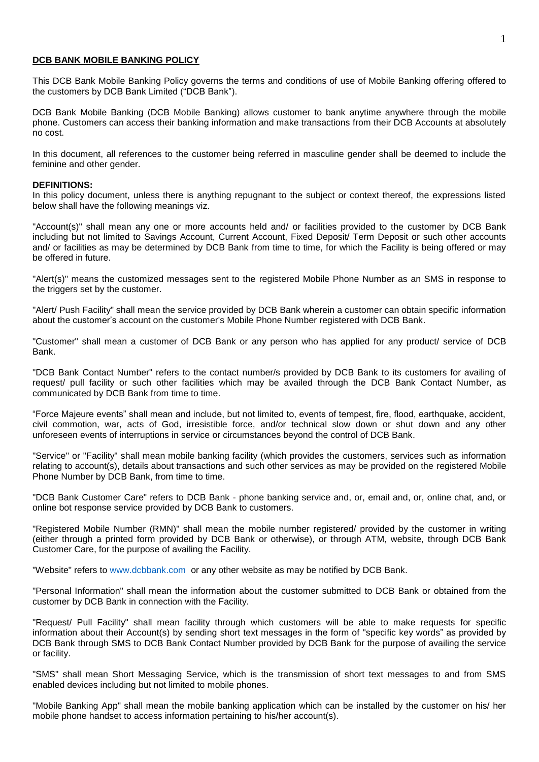#### **DCB BANK MOBILE BANKING POLICY**

This DCB Bank Mobile Banking Policy governs the terms and conditions of use of Mobile Banking offering offered to the customers by DCB Bank Limited ("DCB Bank").

DCB Bank Mobile Banking (DCB Mobile Banking) allows customer to bank anytime anywhere through the mobile phone. Customers can access their banking information and make transactions from their DCB Accounts at absolutely no cost.

In this document, all references to the customer being referred in masculine gender shall be deemed to include the feminine and other gender.

#### **DEFINITIONS:**

In this policy document, unless there is anything repugnant to the subject or context thereof, the expressions listed below shall have the following meanings viz.

"Account(s)" shall mean any one or more accounts held and/ or facilities provided to the customer by DCB Bank including but not limited to Savings Account, Current Account, Fixed Deposit/ Term Deposit or such other accounts and/ or facilities as may be determined by DCB Bank from time to time, for which the Facility is being offered or may be offered in future.

"Alert(s)" means the customized messages sent to the registered Mobile Phone Number as an SMS in response to the triggers set by the customer.

"Alert/ Push Facility" shall mean the service provided by DCB Bank wherein a customer can obtain specific information about the customer's account on the customer's Mobile Phone Number registered with DCB Bank.

"Customer" shall mean a customer of DCB Bank or any person who has applied for any product/ service of DCB Bank.

"DCB Bank Contact Number" refers to the contact number/s provided by DCB Bank to its customers for availing of request/ pull facility or such other facilities which may be availed through the DCB Bank Contact Number, as communicated by DCB Bank from time to time.

"Force Majeure events" shall mean and include, but not limited to, events of tempest, fire, flood, earthquake, accident, civil commotion, war, acts of God, irresistible force, and/or technical slow down or shut down and any other unforeseen events of interruptions in service or circumstances beyond the control of DCB Bank.

"Service" or "Facility" shall mean mobile banking facility (which provides the customers, services such as information relating to account(s), details about transactions and such other services as may be provided on the registered Mobile Phone Number by DCB Bank, from time to time.

"DCB Bank Customer Care" refers to DCB Bank - phone banking service and, or, email and, or, online chat, and, or online bot response service provided by DCB Bank to customers.

"Registered Mobile Number (RMN)" shall mean the mobile number registered/ provided by the customer in writing (either through a printed form provided by DCB Bank or otherwise), or through ATM, website, through DCB Bank Customer Care, for the purpose of availing the Facility.

"Website" refers to [www.dcbbank.com](http://www.dcbbank.com/) or any other website as may be notified by DCB Bank.

"Personal Information" shall mean the information about the customer submitted to DCB Bank or obtained from the customer by DCB Bank in connection with the Facility.

"Request/ Pull Facility" shall mean facility through which customers will be able to make requests for specific information about their Account(s) by sending short text messages in the form of "specific key words" as provided by DCB Bank through SMS to DCB Bank Contact Number provided by DCB Bank for the purpose of availing the service or facility.

"SMS" shall mean Short Messaging Service, which is the transmission of short text messages to and from SMS enabled devices including but not limited to mobile phones.

"Mobile Banking App" shall mean the mobile banking application which can be installed by the customer on his/ her mobile phone handset to access information pertaining to his/her account(s).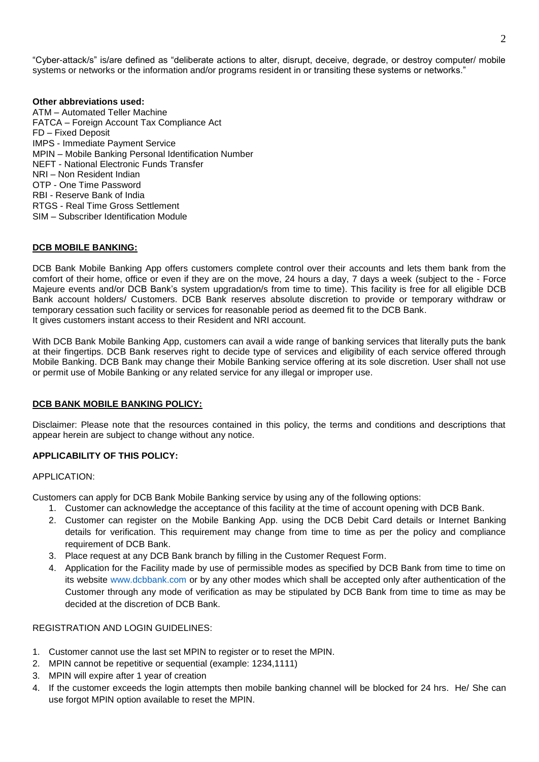"Cyber-attack/s" is/are defined as "deliberate actions to alter, disrupt, deceive, degrade, or destroy computer/ mobile systems or networks or the information and/or programs resident in or transiting these systems or networks."

### **Other abbreviations used:**

ATM – Automated Teller Machine FATCA – Foreign Account Tax Compliance Act FD – Fixed Deposit IMPS - Immediate Payment Service MPIN – Mobile Banking Personal Identification Number NEFT - National Electronic Funds Transfer NRI – Non Resident Indian OTP - One Time Password RBI - Reserve Bank of India RTGS - Real Time Gross Settlement SIM – Subscriber Identification Module

#### **DCB MOBILE BANKING:**

DCB Bank Mobile Banking App offers customers complete control over their accounts and lets them bank from the comfort of their home, office or even if they are on the move, 24 hours a day, 7 days a week (subject to the - Force Majeure events and/or DCB Bank's system upgradation/s from time to time). This facility is free for all eligible DCB Bank account holders/ Customers. DCB Bank reserves absolute discretion to provide or temporary withdraw or temporary cessation such facility or services for reasonable period as deemed fit to the DCB Bank. It gives customers instant access to their Resident and NRI account.

With DCB Bank Mobile Banking App, customers can avail a wide range of banking services that literally puts the bank at their fingertips. DCB Bank reserves right to decide type of services and eligibility of each service offered through Mobile Banking. DCB Bank may change their Mobile Banking service offering at its sole discretion. User shall not use or permit use of Mobile Banking or any related service for any illegal or improper use.

#### **DCB BANK MOBILE BANKING POLICY:**

Disclaimer: Please note that the resources contained in this policy, the terms and conditions and descriptions that appear herein are subject to change without any notice.

# **APPLICABILITY OF THIS POLICY:**

#### APPLICATION:

Customers can apply for DCB Bank Mobile Banking service by using any of the following options:

- 1. Customer can acknowledge the acceptance of this facility at the time of account opening with DCB Bank.
- 2. Customer can register on the Mobile Banking App. using the DCB Debit Card details or Internet Banking details for verification. This requirement may change from time to time as per the policy and compliance requirement of DCB Bank.
- 3. Place request at any DCB Bank branch by filling in the Customer Request Form.
- 4. Application for the Facility made by use of permissible modes as specified by DCB Bank from time to time on its website [www.dcbbank.com](http://www.dcbbank.com/) or by any other modes which shall be accepted only after authentication of the Customer through any mode of verification as may be stipulated by DCB Bank from time to time as may be decided at the discretion of DCB Bank.

### REGISTRATION AND LOGIN GUIDELINES:

- 1. Customer cannot use the last set MPIN to register or to reset the MPIN.
- 2. MPIN cannot be repetitive or sequential (example: 1234,1111)
- 3. MPIN will expire after 1 year of creation
- 4. If the customer exceeds the login attempts then mobile banking channel will be blocked for 24 hrs. He/ She can use forgot MPIN option available to reset the MPIN.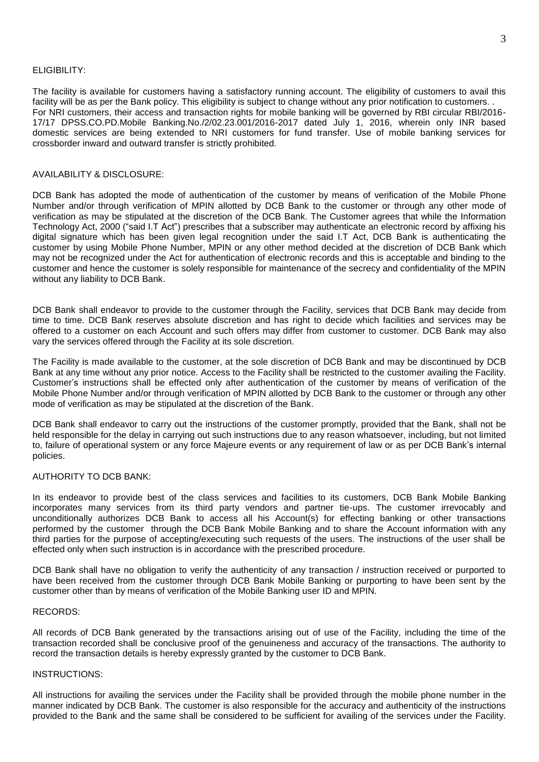#### ELIGIBILITY:

The facility is available for customers having a satisfactory running account. The eligibility of customers to avail this facility will be as per the Bank policy. This eligibility is subject to change without any prior notification to customers. . For NRI customers, their access and transaction rights for mobile banking will be governed by RBI circular RBI/2016- 17/17 DPSS.CO.PD.Mobile Banking.No./2/02.23.001/2016-2017 dated July 1, 2016, wherein only INR based domestic services are being extended to NRI customers for fund transfer. Use of mobile banking services for crossborder inward and outward transfer is strictly prohibited.

### AVAILABILITY & DISCLOSURE:

DCB Bank has adopted the mode of authentication of the customer by means of verification of the Mobile Phone Number and/or through verification of MPIN allotted by DCB Bank to the customer or through any other mode of verification as may be stipulated at the discretion of the DCB Bank. The Customer agrees that while the Information Technology Act, 2000 ("said I.T Act") prescribes that a subscriber may authenticate an electronic record by affixing his digital signature which has been given legal recognition under the said I.T Act, DCB Bank is authenticating the customer by using Mobile Phone Number, MPIN or any other method decided at the discretion of DCB Bank which may not be recognized under the Act for authentication of electronic records and this is acceptable and binding to the customer and hence the customer is solely responsible for maintenance of the secrecy and confidentiality of the MPIN without any liability to DCB Bank.

DCB Bank shall endeavor to provide to the customer through the Facility, services that DCB Bank may decide from time to time. DCB Bank reserves absolute discretion and has right to decide which facilities and services may be offered to a customer on each Account and such offers may differ from customer to customer. DCB Bank may also vary the services offered through the Facility at its sole discretion.

The Facility is made available to the customer, at the sole discretion of DCB Bank and may be discontinued by DCB Bank at any time without any prior notice. Access to the Facility shall be restricted to the customer availing the Facility. Customer's instructions shall be effected only after authentication of the customer by means of verification of the Mobile Phone Number and/or through verification of MPIN allotted by DCB Bank to the customer or through any other mode of verification as may be stipulated at the discretion of the Bank.

DCB Bank shall endeavor to carry out the instructions of the customer promptly, provided that the Bank, shall not be held responsible for the delay in carrying out such instructions due to any reason whatsoever, including, but not limited to, failure of operational system or any force Majeure events or any requirement of law or as per DCB Bank's internal policies.

### AUTHORITY TO DCB BANK:

In its endeavor to provide best of the class services and facilities to its customers, DCB Bank Mobile Banking incorporates many services from its third party vendors and partner tie-ups. The customer irrevocably and unconditionally authorizes DCB Bank to access all his Account(s) for effecting banking or other transactions performed by the customer through the DCB Bank Mobile Banking and to share the Account information with any third parties for the purpose of accepting/executing such requests of the users. The instructions of the user shall be effected only when such instruction is in accordance with the prescribed procedure.

DCB Bank shall have no obligation to verify the authenticity of any transaction / instruction received or purported to have been received from the customer through DCB Bank Mobile Banking or purporting to have been sent by the customer other than by means of verification of the Mobile Banking user ID and MPIN.

#### RECORDS:

All records of DCB Bank generated by the transactions arising out of use of the Facility, including the time of the transaction recorded shall be conclusive proof of the genuineness and accuracy of the transactions. The authority to record the transaction details is hereby expressly granted by the customer to DCB Bank.

### INSTRUCTIONS:

All instructions for availing the services under the Facility shall be provided through the mobile phone number in the manner indicated by DCB Bank. The customer is also responsible for the accuracy and authenticity of the instructions provided to the Bank and the same shall be considered to be sufficient for availing of the services under the Facility.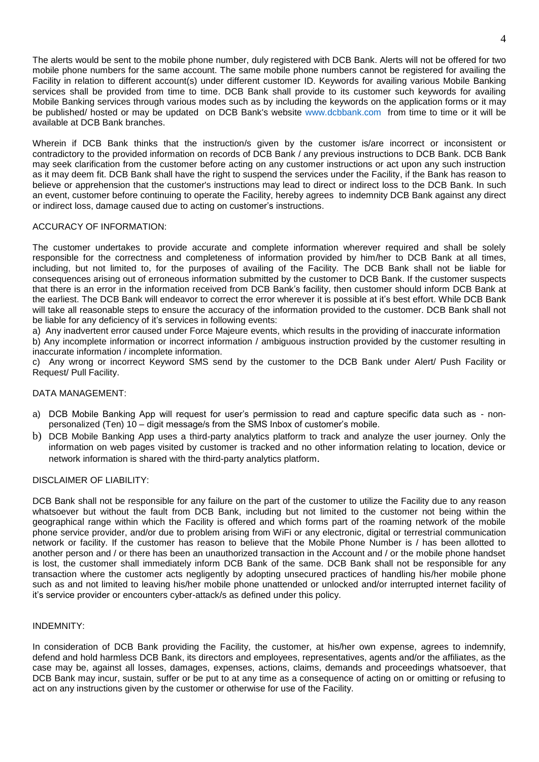The alerts would be sent to the mobile phone number, duly registered with DCB Bank. Alerts will not be offered for two mobile phone numbers for the same account. The same mobile phone numbers cannot be registered for availing the Facility in relation to different account(s) under different customer ID. Keywords for availing various Mobile Banking services shall be provided from time to time. DCB Bank shall provide to its customer such keywords for availing Mobile Banking services through various modes such as by including the keywords on the application forms or it may be published/ hosted or may be updated on DCB Bank's website [www.dcbbank.com](http://www.dcbbank.com/) from time to time or it will be available at DCB Bank branches.

Wherein if DCB Bank thinks that the instruction/s given by the customer is/are incorrect or inconsistent or contradictory to the provided information on records of DCB Bank / any previous instructions to DCB Bank. DCB Bank may seek clarification from the customer before acting on any customer instructions or act upon any such instruction as it may deem fit. DCB Bank shall have the right to suspend the services under the Facility, if the Bank has reason to believe or apprehension that the customer's instructions may lead to direct or indirect loss to the DCB Bank. In such an event, customer before continuing to operate the Facility, hereby agrees to indemnity DCB Bank against any direct or indirect loss, damage caused due to acting on customer's instructions.

# ACCURACY OF INFORMATION:

The customer undertakes to provide accurate and complete information wherever required and shall be solely responsible for the correctness and completeness of information provided by him/her to DCB Bank at all times, including, but not limited to, for the purposes of availing of the Facility. The DCB Bank shall not be liable for consequences arising out of erroneous information submitted by the customer to DCB Bank. If the customer suspects that there is an error in the information received from DCB Bank's facility, then customer should inform DCB Bank at the earliest. The DCB Bank will endeavor to correct the error wherever it is possible at it's best effort. While DCB Bank will take all reasonable steps to ensure the accuracy of the information provided to the customer. DCB Bank shall not be liable for any deficiency of it's services in following events:

a) Any inadvertent error caused under Force Majeure events, which results in the providing of inaccurate information b) Any incomplete information or incorrect information / ambiguous instruction provided by the customer resulting in inaccurate information / incomplete information.

c) Any wrong or incorrect Keyword SMS send by the customer to the DCB Bank under Alert/ Push Facility or Request/ Pull Facility.

### DATA MANAGEMENT:

- a) DCB Mobile Banking App will request for user's permission to read and capture specific data such as nonpersonalized (Ten) 10 – digit message/s from the SMS Inbox of customer's mobile.
- b) DCB Mobile Banking App uses a third-party analytics platform to track and analyze the user journey. Only the information on web pages visited by customer is tracked and no other information relating to location, device or network information is shared with the third-party analytics platform.

# DISCLAIMER OF LIABILITY:

DCB Bank shall not be responsible for any failure on the part of the customer to utilize the Facility due to any reason whatsoever but without the fault from DCB Bank, including but not limited to the customer not being within the geographical range within which the Facility is offered and which forms part of the roaming network of the mobile phone service provider, and/or due to problem arising from WiFi or any electronic, digital or terrestrial communication network or facility. If the customer has reason to believe that the Mobile Phone Number is / has been allotted to another person and / or there has been an unauthorized transaction in the Account and / or the mobile phone handset is lost, the customer shall immediately inform DCB Bank of the same. DCB Bank shall not be responsible for any transaction where the customer acts negligently by adopting unsecured practices of handling his/her mobile phone such as and not limited to leaving his/her mobile phone unattended or unlocked and/or interrupted internet facility of it's service provider or encounters cyber-attack/s as defined under this policy.

### INDEMNITY:

In consideration of DCB Bank providing the Facility, the customer, at his/her own expense, agrees to indemnify, defend and hold harmless DCB Bank, its directors and employees, representatives, agents and/or the affiliates, as the case may be, against all losses, damages, expenses, actions, claims, demands and proceedings whatsoever, that DCB Bank may incur, sustain, suffer or be put to at any time as a consequence of acting on or omitting or refusing to act on any instructions given by the customer or otherwise for use of the Facility.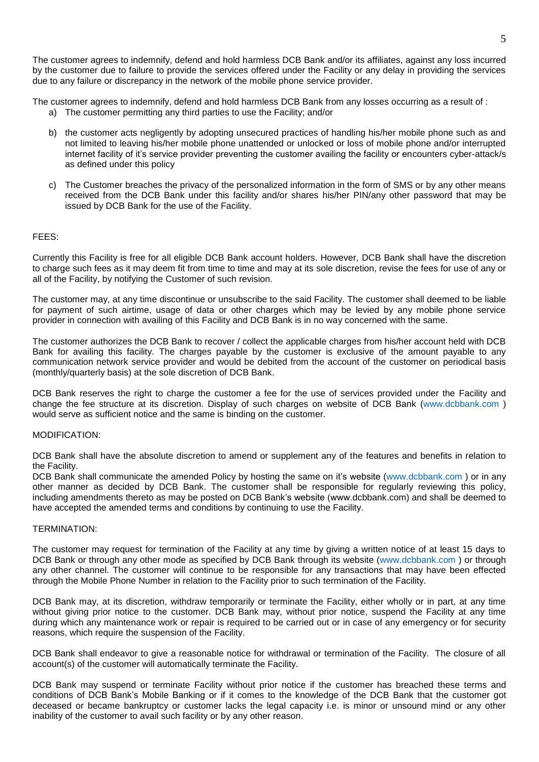The customer agrees to indemnify, defend and hold harmless DCB Bank and/or its affiliates, against any loss incurred by the customer due to failure to provide the services offered under the Facility or any delay in providing the services due to any failure or discrepancy in the network of the mobile phone service provider.

The customer agrees to indemnify, defend and hold harmless DCB Bank from any losses occurring as a result of :

- a) The customer permitting any third parties to use the Facility; and/or
- b) the customer acts negligently by adopting unsecured practices of handling his/her mobile phone such as and not limited to leaving his/her mobile phone unattended or unlocked or loss of mobile phone and/or interrupted internet facility of it's service provider preventing the customer availing the facility or encounters cyber-attack/s as defined under this policy
- c) The Customer breaches the privacy of the personalized information in the form of SMS or by any other means received from the DCB Bank under this facility and/or shares his/her PIN/any other password that may be issued by DCB Bank for the use of the Facility.

### FEES:

Currently this Facility is free for all eligible DCB Bank account holders. However, DCB Bank shall have the discretion to charge such fees as it may deem fit from time to time and may at its sole discretion, revise the fees for use of any or all of the Facility, by notifying the Customer of such revision.

The customer may, at any time discontinue or unsubscribe to the said Facility. The customer shall deemed to be liable for payment of such airtime, usage of data or other charges which may be levied by any mobile phone service provider in connection with availing of this Facility and DCB Bank is in no way concerned with the same.

The customer authorizes the DCB Bank to recover / collect the applicable charges from his/her account held with DCB Bank for availing this facility. The charges payable by the customer is exclusive of the amount payable to any communication network service provider and would be debited from the account of the customer on periodical basis (monthly/quarterly basis) at the sole discretion of DCB Bank.

DCB Bank reserves the right to charge the customer a fee for the use of services provided under the Facility and change the fee structure at its discretion. Display of such charges on website of DCB Bank [\(www.dcbbank.com](http://www.dcbbank.com/) ) would serve as sufficient notice and the same is binding on the customer.

#### MODIFICATION:

DCB Bank shall have the absolute discretion to amend or supplement any of the features and benefits in relation to the Facility.

DCB Bank shall communicate the amended Policy by hosting the same on it's website [\(www.dcbbank.com](http://www.dcbbank.com/)) or in any other manner as decided by DCB Bank. The customer shall be responsible for regularly reviewing this policy, including amendments thereto as may be posted on DCB Bank's website (www.dcbbank.com) and shall be deemed to have accepted the amended terms and conditions by continuing to use the Facility.

### TERMINATION:

The customer may request for termination of the Facility at any time by giving a written notice of at least 15 days to DCB Bank or through any other mode as specified by DCB Bank through its website [\(www.dcbbank.com](http://www.dcbbank.com/)) or through any other channel. The customer will continue to be responsible for any transactions that may have been effected through the Mobile Phone Number in relation to the Facility prior to such termination of the Facility.

DCB Bank may, at its discretion, withdraw temporarily or terminate the Facility, either wholly or in part, at any time without giving prior notice to the customer. DCB Bank may, without prior notice, suspend the Facility at any time during which any maintenance work or repair is required to be carried out or in case of any emergency or for security reasons, which require the suspension of the Facility.

DCB Bank shall endeavor to give a reasonable notice for withdrawal or termination of the Facility. The closure of all account(s) of the customer will automatically terminate the Facility.

DCB Bank may suspend or terminate Facility without prior notice if the customer has breached these terms and conditions of DCB Bank's Mobile Banking or if it comes to the knowledge of the DCB Bank that the customer got deceased or became bankruptcy or customer lacks the legal capacity i.e. is minor or unsound mind or any other inability of the customer to avail such facility or by any other reason.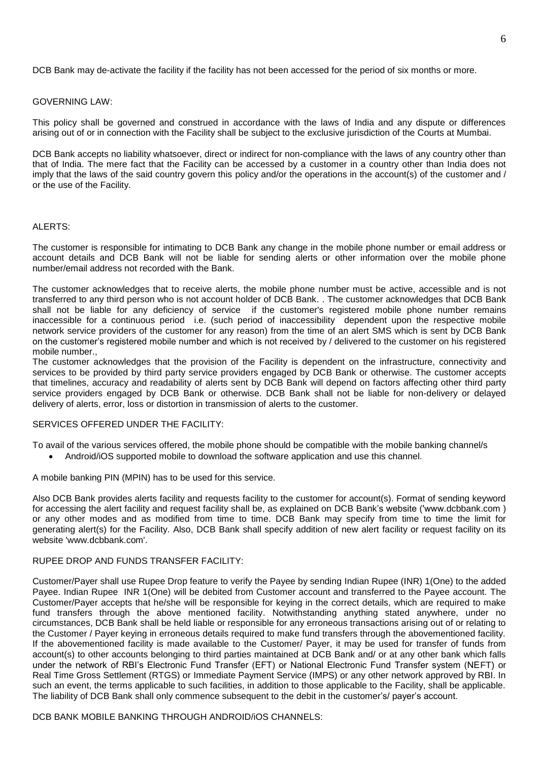DCB Bank may de-activate the facility if the facility has not been accessed for the period of six months or more.

### GOVERNING LAW:

This policy shall be governed and construed in accordance with the laws of India and any dispute or differences arising out of or in connection with the Facility shall be subject to the exclusive jurisdiction of the Courts at Mumbai.

DCB Bank accepts no liability whatsoever, direct or indirect for non-compliance with the laws of any country other than that of India. The mere fact that the Facility can be accessed by a customer in a country other than India does not imply that the laws of the said country govern this policy and/or the operations in the account(s) of the customer and / or the use of the Facility.

### ALERTS:

The customer is responsible for intimating to DCB Bank any change in the mobile phone number or email address or account details and DCB Bank will not be liable for sending alerts or other information over the mobile phone number/email address not recorded with the Bank.

The customer acknowledges that to receive alerts, the mobile phone number must be active, accessible and is not transferred to any third person who is not account holder of DCB Bank. . The customer acknowledges that DCB Bank shall not be liable for any deficiency of service if the customer's registered mobile phone number remains inaccessible for a continuous period i.e. (such period of inaccessibility dependent upon the respective mobile network service providers of the customer for any reason) from the time of an alert SMS which is sent by DCB Bank on the customer's registered mobile number and which is not received by / delivered to the customer on his registered mobile number.,

The customer acknowledges that the provision of the Facility is dependent on the infrastructure, connectivity and services to be provided by third party service providers engaged by DCB Bank or otherwise. The customer accepts that timelines, accuracy and readability of alerts sent by DCB Bank will depend on factors affecting other third party service providers engaged by DCB Bank or otherwise. DCB Bank shall not be liable for non-delivery or delayed delivery of alerts, error, loss or distortion in transmission of alerts to the customer.

### SERVICES OFFERED UNDER THE FACILITY:

To avail of the various services offered, the mobile phone should be compatible with the mobile banking channel/s

Android/iOS supported mobile to download the software application and use this channel.

A mobile banking PIN (MPIN) has to be used for this service.

Also DCB Bank provides alerts facility and requests facility to the customer for account(s). Format of sending keyword for accessing the alert facility and request facility shall be, as explained on DCB Bank's website ('www.dcbbank.com ) or any other modes and as modified from time to time. DCB Bank may specify from time to time the limit for generating alert(s) for the Facility. Also, DCB Bank shall specify addition of new alert facility or request facility on its website 'www.dcbbank.com'.

# RUPEE DROP AND FUNDS TRANSFER FACILITY:

Customer/Payer shall use Rupee Drop feature to verify the Payee by sending Indian Rupee (INR) 1(One) to the added Payee. Indian Rupee INR 1(One) will be debited from Customer account and transferred to the Payee account. The Customer/Payer accepts that he/she will be responsible for keying in the correct details, which are required to make fund transfers through the above mentioned facility. Notwithstanding anything stated anywhere, under no circumstances, DCB Bank shall be held liable or responsible for any erroneous transactions arising out of or relating to the Customer / Payer keying in erroneous details required to make fund transfers through the abovementioned facility. If the abovementioned facility is made available to the Customer/ Payer, it may be used for transfer of funds from account(s) to other accounts belonging to third parties maintained at DCB Bank and/ or at any other bank which falls under the network of RBI's Electronic Fund Transfer (EFT) or National Electronic Fund Transfer system (NEFT) or Real Time Gross Settlement (RTGS) or Immediate Payment Service (IMPS) or any other network approved by RBI. In such an event, the terms applicable to such facilities, in addition to those applicable to the Facility, shall be applicable. The liability of DCB Bank shall only commence subsequent to the debit in the customer's/ payer's account.

### DCB BANK MOBILE BANKING THROUGH ANDROID/iOS CHANNELS: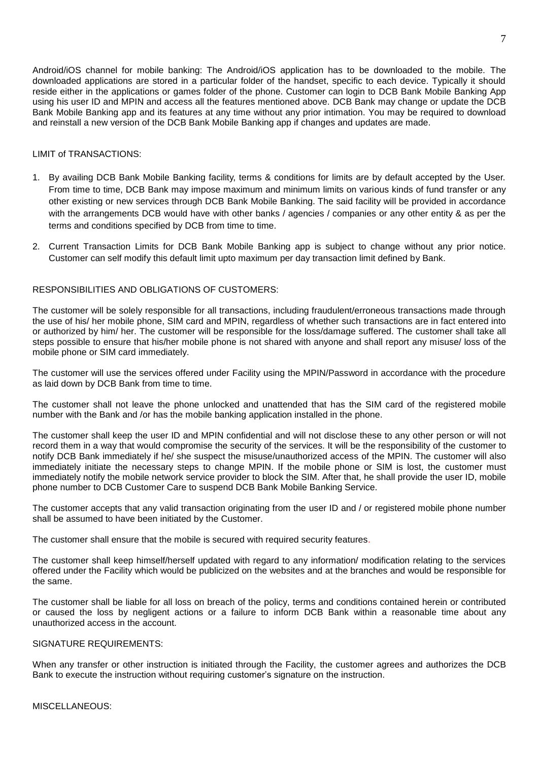Android/iOS channel for mobile banking: The Android/iOS application has to be downloaded to the mobile. The downloaded applications are stored in a particular folder of the handset, specific to each device. Typically it should reside either in the applications or games folder of the phone. Customer can login to DCB Bank Mobile Banking App using his user ID and MPIN and access all the features mentioned above. DCB Bank may change or update the DCB Bank Mobile Banking app and its features at any time without any prior intimation. You may be required to download and reinstall a new version of the DCB Bank Mobile Banking app if changes and updates are made.

# LIMIT of TRANSACTIONS:

- 1. By availing DCB Bank Mobile Banking facility, terms & conditions for limits are by default accepted by the User. From time to time, DCB Bank may impose maximum and minimum limits on various kinds of fund transfer or any other existing or new services through DCB Bank Mobile Banking. The said facility will be provided in accordance with the arrangements DCB would have with other banks / agencies / companies or any other entity & as per the terms and conditions specified by DCB from time to time.
- 2. Current Transaction Limits for DCB Bank Mobile Banking app is subject to change without any prior notice. Customer can self modify this default limit upto maximum per day transaction limit defined by Bank.

# RESPONSIBILITIES AND OBLIGATIONS OF CUSTOMERS:

The customer will be solely responsible for all transactions, including fraudulent/erroneous transactions made through the use of his/ her mobile phone, SIM card and MPIN, regardless of whether such transactions are in fact entered into or authorized by him/ her. The customer will be responsible for the loss/damage suffered. The customer shall take all steps possible to ensure that his/her mobile phone is not shared with anyone and shall report any misuse/ loss of the mobile phone or SIM card immediately.

The customer will use the services offered under Facility using the MPIN/Password in accordance with the procedure as laid down by DCB Bank from time to time.

The customer shall not leave the phone unlocked and unattended that has the SIM card of the registered mobile number with the Bank and /or has the mobile banking application installed in the phone.

The customer shall keep the user ID and MPIN confidential and will not disclose these to any other person or will not record them in a way that would compromise the security of the services. It will be the responsibility of the customer to notify DCB Bank immediately if he/ she suspect the misuse/unauthorized access of the MPIN. The customer will also immediately initiate the necessary steps to change MPIN. If the mobile phone or SIM is lost, the customer must immediately notify the mobile network service provider to block the SIM. After that, he shall provide the user ID, mobile phone number to DCB Customer Care to suspend DCB Bank Mobile Banking Service.

The customer accepts that any valid transaction originating from the user ID and / or registered mobile phone number shall be assumed to have been initiated by the Customer.

The customer shall ensure that the mobile is secured with required security features.

The customer shall keep himself/herself updated with regard to any information/ modification relating to the services offered under the Facility which would be publicized on the websites and at the branches and would be responsible for the same.

The customer shall be liable for all loss on breach of the policy, terms and conditions contained herein or contributed or caused the loss by negligent actions or a failure to inform DCB Bank within a reasonable time about any unauthorized access in the account.

# SIGNATURE REQUIREMENTS:

When any transfer or other instruction is initiated through the Facility, the customer agrees and authorizes the DCB Bank to execute the instruction without requiring customer's signature on the instruction.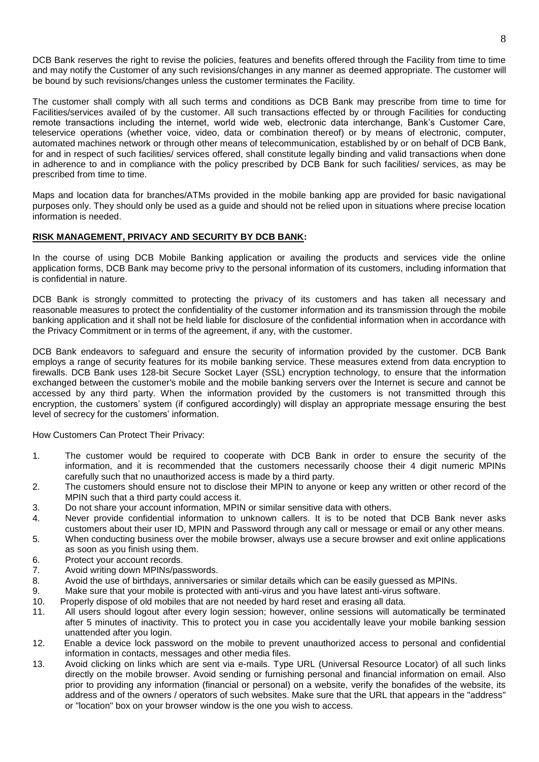DCB Bank reserves the right to revise the policies, features and benefits offered through the Facility from time to time and may notify the Customer of any such revisions/changes in any manner as deemed appropriate. The customer will be bound by such revisions/changes unless the customer terminates the Facility.

The customer shall comply with all such terms and conditions as DCB Bank may prescribe from time to time for Facilities/services availed of by the customer. All such transactions effected by or through Facilities for conducting remote transactions including the internet, world wide web, electronic data interchange, Bank's Customer Care, teleservice operations (whether voice, video, data or combination thereof) or by means of electronic, computer, automated machines network or through other means of telecommunication, established by or on behalf of DCB Bank, for and in respect of such facilities/ services offered, shall constitute legally binding and valid transactions when done in adherence to and in compliance with the policy prescribed by DCB Bank for such facilities/ services, as may be prescribed from time to time.

Maps and location data for branches/ATMs provided in the mobile banking app are provided for basic navigational purposes only. They should only be used as a guide and should not be relied upon in situations where precise location information is needed.

# **RISK MANAGEMENT, PRIVACY AND SECURITY BY DCB BANK:**

In the course of using DCB Mobile Banking application or availing the products and services vide the online application forms, DCB Bank may become privy to the personal information of its customers, including information that is confidential in nature.

DCB Bank is strongly committed to protecting the privacy of its customers and has taken all necessary and reasonable measures to protect the confidentiality of the customer information and its transmission through the mobile banking application and it shall not be held liable for disclosure of the confidential information when in accordance with the Privacy Commitment or in terms of the agreement, if any, with the customer.

DCB Bank endeavors to safeguard and ensure the security of information provided by the customer. DCB Bank employs a range of security features for its mobile banking service. These measures extend from data encryption to firewalls. DCB Bank uses 128-bit Secure Socket Layer (SSL) encryption technology, to ensure that the information exchanged between the customer's mobile and the mobile banking servers over the Internet is secure and cannot be accessed by any third party. When the information provided by the customers is not transmitted through this encryption, the customers' system (if configured accordingly) will display an appropriate message ensuring the best level of secrecy for the customers' information.

How Customers Can Protect Their Privacy:

- 1. The customer would be required to cooperate with DCB Bank in order to ensure the security of the information, and it is recommended that the customers necessarily choose their 4 digit numeric MPINs carefully such that no unauthorized access is made by a third party.
- 2. The customers should ensure not to disclose their MPIN to anyone or keep any written or other record of the MPIN such that a third party could access it.
- 3. Do not share your account information, MPIN or similar sensitive data with others.
- 4. Never provide confidential information to unknown callers. It is to be noted that DCB Bank never asks customers about their user ID, MPIN and Password through any call or message or email or any other means.
- 5. When conducting business over the mobile browser, always use a secure browser and exit online applications as soon as you finish using them.
- 6. Protect your account records.
- 7. Avoid writing down MPINs/passwords.
- 8. Avoid the use of birthdays, anniversaries or similar details which can be easily guessed as MPINs.
- 9. Make sure that your mobile is protected with anti-virus and you have latest anti-virus software.
- 10. Properly dispose of old mobiles that are not needed by hard reset and erasing all data.
- 11. All users should logout after every login session; however, online sessions will automatically be terminated after 5 minutes of inactivity. This to protect you in case you accidentally leave your mobile banking session unattended after you login.
- 12. Enable a device lock password on the mobile to prevent unauthorized access to personal and confidential information in contacts, messages and other media files.
- 13. Avoid clicking on links which are sent via e-mails. Type URL (Universal Resource Locator) of all such links directly on the mobile browser. Avoid sending or furnishing personal and financial information on email. Also prior to providing any information (financial or personal) on a website, verify the bonafides of the website, its address and of the owners / operators of such websites. Make sure that the URL that appears in the "address" or "location" box on your browser window is the one you wish to access.